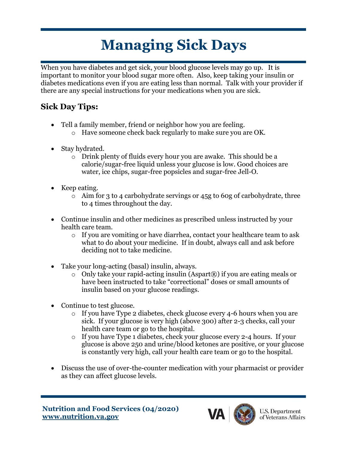# **Managing Sick Days**

When you have diabetes and get sick, your blood glucose levels may go up. It is important to monitor your blood sugar more often. Also, keep taking your insulin or diabetes medications even if you are eating less than normal. Talk with your provider if there are any special instructions for your medications when you are sick.

### **Sick Day Tips:**

- Tell a family member, friend or neighbor how you are feeling.
	- o Have someone check back regularly to make sure you are OK.
- Stay hydrated.
	- o Drink plenty of fluids every hour you are awake. This should be a calorie/sugar-free liquid unless your glucose is low. Good choices are water, ice chips, sugar-free popsicles and sugar-free Jell-O.
- Keep eating.
	- o Aim for 3 to 4 carbohydrate servings or 45g to 60g of carbohydrate, three to 4 times throughout the day.
- Continue insulin and other medicines as prescribed unless instructed by your health care team.
	- o If you are vomiting or have diarrhea, contact your healthcare team to ask what to do about your medicine. If in doubt, always call and ask before deciding not to take medicine.
- Take your long-acting (basal) insulin, always.
	- o Only take your rapid-acting insulin (Aspart®) if you are eating meals or have been instructed to take "correctional" doses or small amounts of insulin based on your glucose readings.
- Continue to test glucose.
	- o If you have Type 2 diabetes, check glucose every 4-6 hours when you are sick. If your glucose is very high (above 300) after 2-3 checks, call your health care team or go to the hospital.
	- o If you have Type 1 diabetes, check your glucose every 2-4 hours. If your glucose is above 250 and urine/blood ketones are positive, or your glucose is constantly very high, call your health care team or go to the hospital.
- Discuss the use of over-the-counter medication with your pharmacist or provider as they can affect glucose levels.